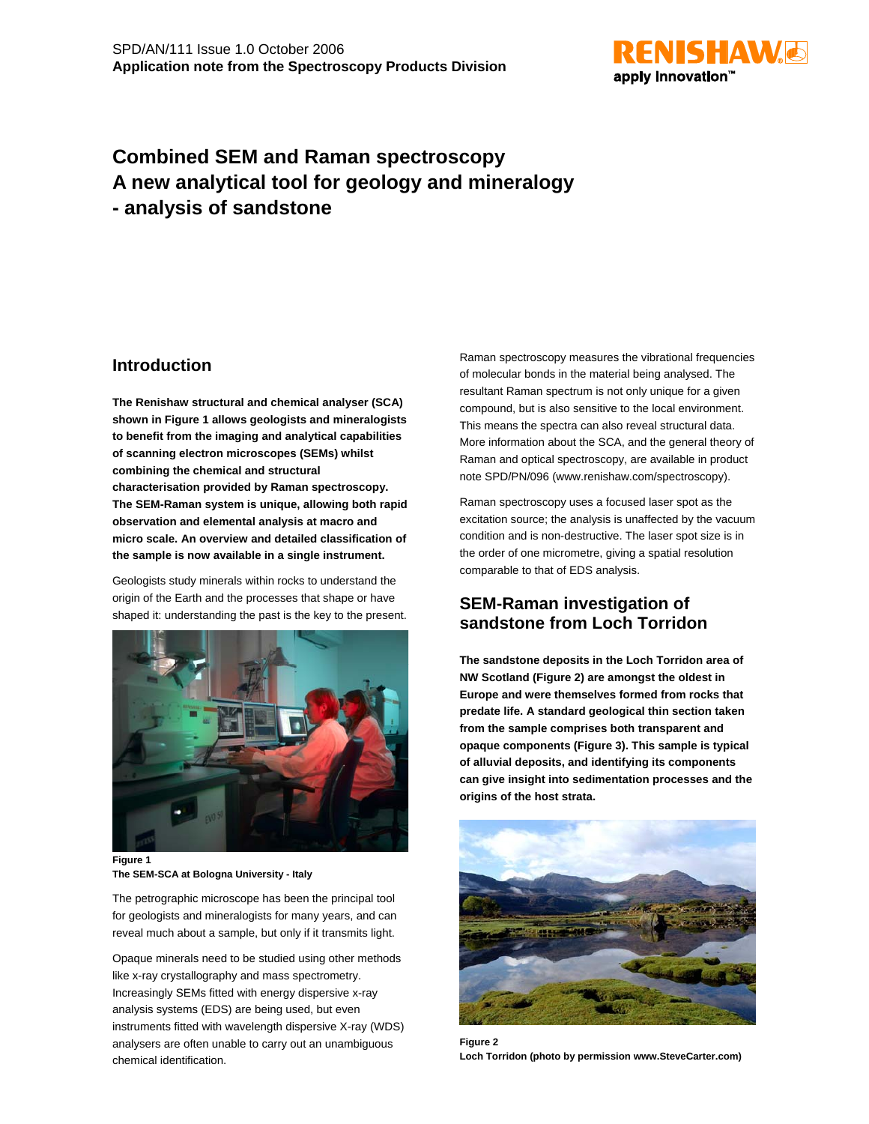

# **Combined SEM and Raman spectroscopy A new analytical tool for geology and mineralogy - analysis of sandstone**

### **Introduction**

**The Renishaw structural and chemical analyser (SCA) shown in Figure 1 allows geologists and mineralogists to benefit from the imaging and analytical capabilities of scanning electron microscopes (SEMs) whilst combining the chemical and structural characterisation provided by Raman spectroscopy. The SEM-Raman system is unique, allowing both rapid observation and elemental analysis at macro and micro scale. An overview and detailed classification of the sample is now available in a single instrument.**

Geologists study minerals within rocks to understand the origin of the Earth and the processes that shape or have shaped it: understanding the past is the key to the present.



**Figure 1 The SEM-SCA at Bologna University - Italy**

The petrographic microscope has been the principal tool for geologists and mineralogists for many years, and can reveal much about a sample, but only if it transmits light.

Opaque minerals need to be studied using other methods like x-ray crystallography and mass spectrometry. Increasingly SEMs fitted with energy dispersive x-ray analysis systems (EDS) are being used, but even instruments fitted with wavelength dispersive X-ray (WDS) analysers are often unable to carry out an unambiguous chemical identification.

Raman spectroscopy measures the vibrational frequencies of molecular bonds in the material being analysed. The resultant Raman spectrum is not only unique for a given compound, but is also sensitive to the local environment. This means the spectra can also reveal structural data. More information about the SCA, and the general theory of Raman and optical spectroscopy, are available in product note SPD/PN/096 (www.renishaw.com/spectroscopy).

Raman spectroscopy uses a focused laser spot as the excitation source; the analysis is unaffected by the vacuum condition and is non-destructive. The laser spot size is in the order of one micrometre, giving a spatial resolution comparable to that of EDS analysis.

### **SEM-Raman investigation of sandstone from Loch Torridon**

**The sandstone deposits in the Loch Torridon area of NW Scotland (Figure 2) are amongst the oldest in Europe and were themselves formed from rocks that predate life. A standard geological thin section taken from the sample comprises both transparent and opaque components (Figure 3). This sample is typical of alluvial deposits, and identifying its components can give insight into sedimentation processes and the origins of the host strata.**



**Figure 2 Loch Torridon (photo by permission www.SteveCarter.com)**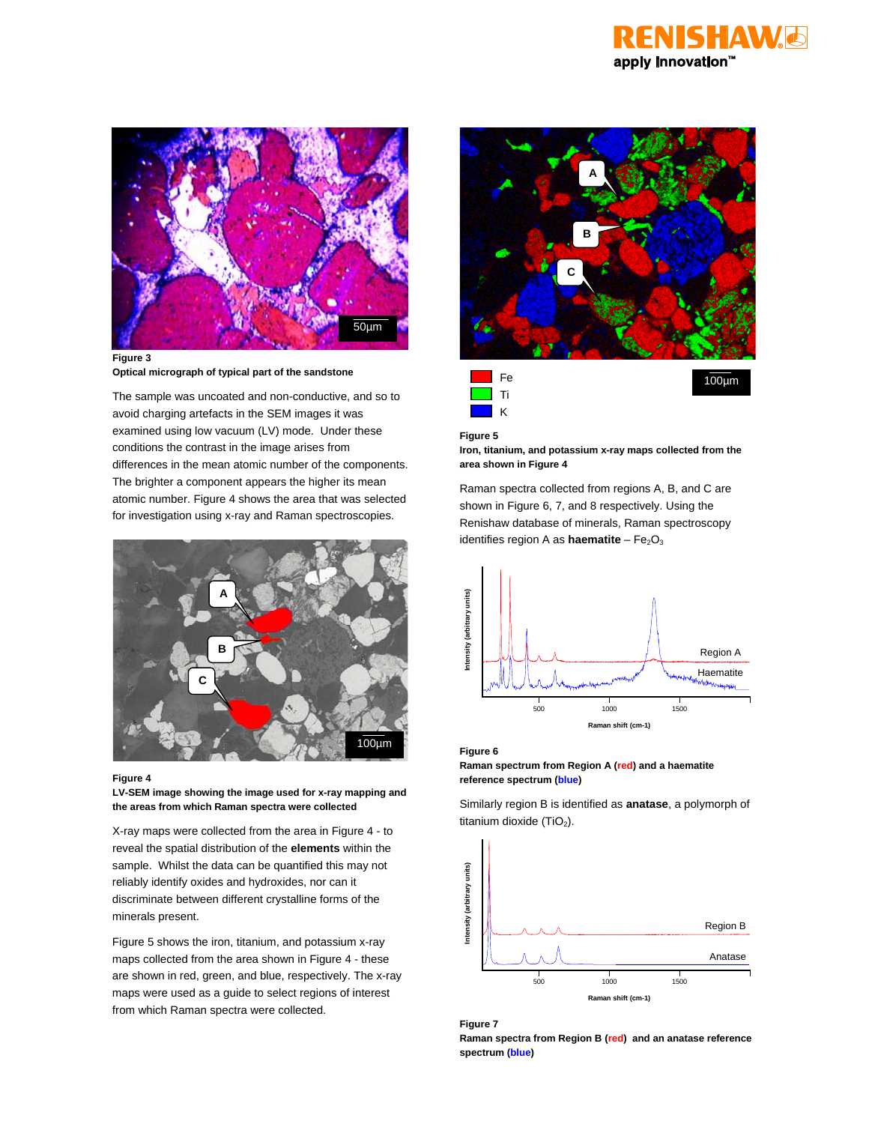



**Figure 3 Optical micrograph of typical part of the sandstone**

The sample was uncoated and non-conductive, and so to avoid charging artefacts in the SEM images it was examined using low vacuum (LV) mode. Under these conditions the contrast in the image arises from differences in the mean atomic number of the components. The brighter a component appears the higher its mean atomic number. Figure 4 shows the area that was selected for investigation using x-ray and Raman spectroscopies.



#### **Figure 4**

**LV-SEM image showing the image used for x-ray mapping and the areas from which Raman spectra were collected**

X-ray maps were collected from the area in Figure 4 - to reveal the spatial distribution of the **elements** within the sample. Whilst the data can be quantified this may not reliably identify oxides and hydroxides, nor can it discriminate between different crystalline forms of the minerals present.

Figure 5 shows the iron, titanium, and potassium x-ray maps collected from the area shown in Figure 4 - these are shown in red, green, and blue, respectively. The x-ray maps were used as a guide to select regions of interest from which Raman spectra were collected.



**Figure 5**

**Iron, titanium, and potassium x-ray maps collected from the area shown in Figure 4**

Raman spectra collected from regions A, B, and C are shown in Figure 6, 7, and 8 respectively. Using the Renishaw database of minerals, Raman spectroscopy identifies region A as **haematite** - Fe<sub>2</sub>O<sub>3</sub>



#### **Figure 6**

**Raman spectrum from Region A (red) and a haematite reference spectrum (blue)**

Similarly region B is identified as **anatase**, a polymorph of titanium dioxide  $(TiO<sub>2</sub>)$ .



**Figure 7**

**Raman spectra from Region B (red) and an anatase reference spectrum (blue)**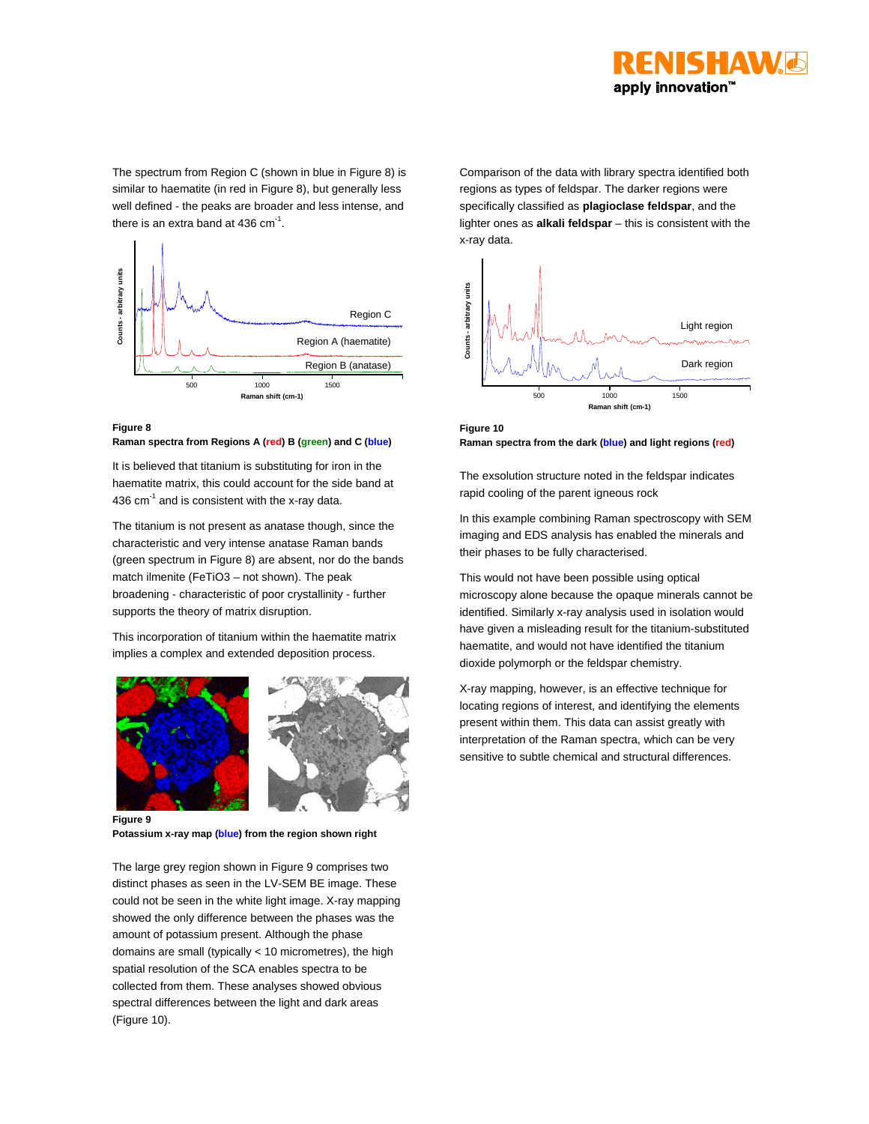

The spectrum from Region C (shown in blue in Figure 8) is similar to haematite (in red in Figure 8), but generally less well defined - the peaks are broader and less intense, and there is an extra band at 436  $cm^{-1}$ .



### **Figure 8**

**Raman spectra from Regions A (red) B (green) and C (blue)**

It is believed that titanium is substituting for iron in the haematite matrix, this could account for the side band at 436  $cm^{-1}$  and is consistent with the x-ray data.

The titanium is not present as anatase though, since the characteristic and very intense anatase Raman bands (green spectrum in Figure 8) are absent, nor do the bands match ilmenite (FeTiO3 – not shown). The peak broadening - characteristic of poor crystallinity - further supports the theory of matrix disruption.

This incorporation of titanium within the haematite matrix implies a complex and extended deposition process.





**Figure 9 Potassium x-ray map (blue) from the region shown right**

The large grey region shown in Figure 9 comprises two distinct phases as seen in the LV-SEM BE image. These could not be seen in the white light image. X-ray mapping showed the only difference between the phases was the amount of potassium present. Although the phase domains are small (typically < 10 micrometres), the high spatial resolution of the SCA enables spectra to be collected from them. These analyses showed obvious spectral differences between the light and dark areas (Figure 10).

Comparison of the data with library spectra identified both regions as types of feldspar. The darker regions were specifically classified as **plagioclase feldspar**, and the lighter ones as **alkali feldspar** – this is consistent with the x-ray data.



**Figure 10 Raman spectra from the dark (blue) and light regions (red)**

The exsolution structure noted in the feldspar indicates rapid cooling of the parent igneous rock

In this example combining Raman spectroscopy with SEM imaging and EDS analysis has enabled the minerals and their phases to be fully characterised.

This would not have been possible using optical microscopy alone because the opaque minerals cannot be identified. Similarly x-ray analysis used in isolation would have given a misleading result for the titanium-substituted haematite, and would not have identified the titanium dioxide polymorph or the feldspar chemistry.

X-ray mapping, however, is an effective technique for locating regions of interest, and identifying the elements present within them. This data can assist greatly with interpretation of the Raman spectra, which can be very sensitive to subtle chemical and structural differences.